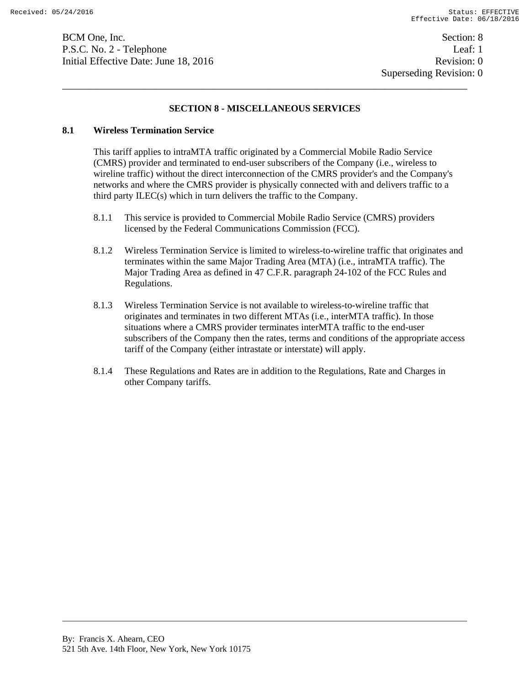BCM One, Inc. Section: 8 P.S.C. No. 2 - Telephone Leaf: 1 Initial Effective Date: June 18, 2016 **Revision: 0** Revision: 0

# **SECTION 8 - MISCELLANEOUS SERVICES**

## **8.1 Wireless Termination Service**

This tariff applies to intraMTA traffic originated by a Commercial Mobile Radio Service (CMRS) provider and terminated to end-user subscribers of the Company (i.e., wireless to wireline traffic) without the direct interconnection of the CMRS provider's and the Company's networks and where the CMRS provider is physically connected with and delivers traffic to a third party ILEC(s) which in turn delivers the traffic to the Company.

- 8.1.1 This service is provided to Commercial Mobile Radio Service (CMRS) providers licensed by the Federal Communications Commission (FCC).
- 8.1.2 Wireless Termination Service is limited to wireless-to-wireline traffic that originates and terminates within the same Major Trading Area (MTA) (i.e., intraMTA traffic). The Major Trading Area as defined in 47 C.F.R. paragraph 24-102 of the FCC Rules and Regulations.
- 8.1.3 Wireless Termination Service is not available to wireless-to-wireline traffic that originates and terminates in two different MTAs (i.e., interMTA traffic). In those situations where a CMRS provider terminates interMTA traffic to the end-user subscribers of the Company then the rates, terms and conditions of the appropriate access tariff of the Company (either intrastate or interstate) will apply.
- 8.1.4 These Regulations and Rates are in addition to the Regulations, Rate and Charges in other Company tariffs.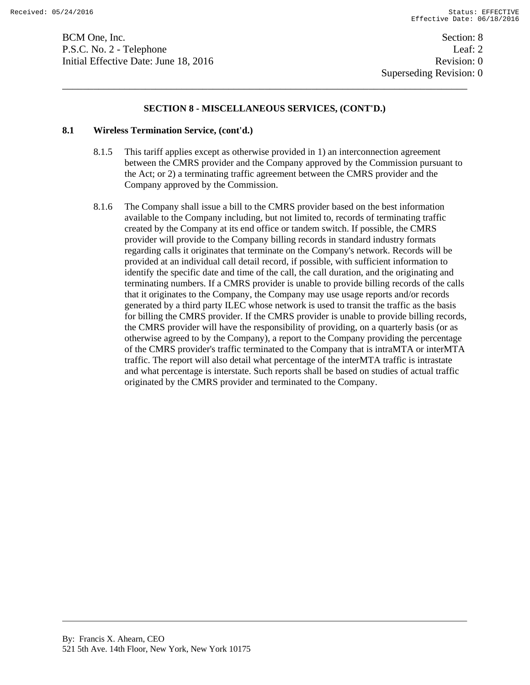BCM One, Inc. Section: 8 P.S.C. No. 2 - Telephone Leaf: 2 Initial Effective Date: June 18, 2016 **Revision: 0** Revision: 0

## **SECTION 8 - MISCELLANEOUS SERVICES, (CONT'D.)**

#### **8.1 Wireless Termination Service, (cont'd.)**

- 8.1.5 This tariff applies except as otherwise provided in 1) an interconnection agreement between the CMRS provider and the Company approved by the Commission pursuant to the Act; or 2) a terminating traffic agreement between the CMRS provider and the Company approved by the Commission.
- 8.1.6 The Company shall issue a bill to the CMRS provider based on the best information available to the Company including, but not limited to, records of terminating traffic created by the Company at its end office or tandem switch. If possible, the CMRS provider will provide to the Company billing records in standard industry formats regarding calls it originates that terminate on the Company's network. Records will be provided at an individual call detail record, if possible, with sufficient information to identify the specific date and time of the call, the call duration, and the originating and terminating numbers. If a CMRS provider is unable to provide billing records of the calls that it originates to the Company, the Company may use usage reports and/or records generated by a third party ILEC whose network is used to transit the traffic as the basis for billing the CMRS provider. If the CMRS provider is unable to provide billing records, the CMRS provider will have the responsibility of providing, on a quarterly basis (or as otherwise agreed to by the Company), a report to the Company providing the percentage of the CMRS provider's traffic terminated to the Company that is intraMTA or interMTA traffic. The report will also detail what percentage of the interMTA traffic is intrastate and what percentage is interstate. Such reports shall be based on studies of actual traffic originated by the CMRS provider and terminated to the Company.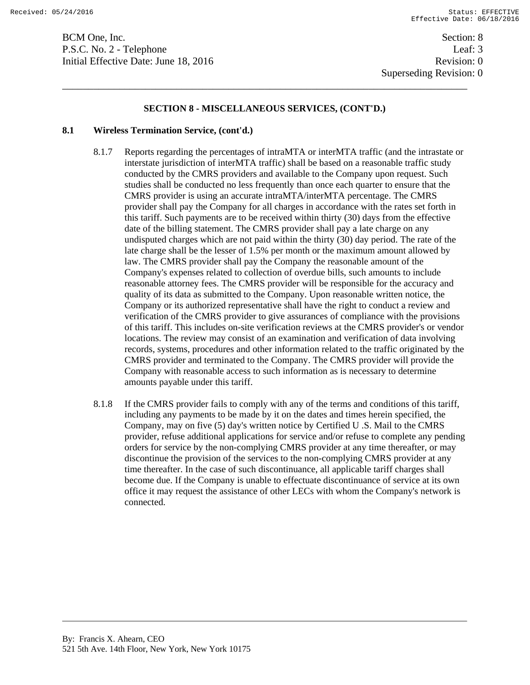BCM One, Inc. Section: 8 P.S.C. No. 2 - Telephone Leaf: 3 Initial Effective Date: June 18, 2016 **Revision: 0** Revision: 0

## **SECTION 8 - MISCELLANEOUS SERVICES, (CONT'D.)**

#### **8.1 Wireless Termination Service, (cont'd.)**

- 8.1.7 Reports regarding the percentages of intraMTA or interMTA traffic (and the intrastate or interstate jurisdiction of interMTA traffic) shall be based on a reasonable traffic study conducted by the CMRS providers and available to the Company upon request. Such studies shall be conducted no less frequently than once each quarter to ensure that the CMRS provider is using an accurate intraMTA/interMTA percentage. The CMRS provider shall pay the Company for all charges in accordance with the rates set forth in this tariff. Such payments are to be received within thirty (30) days from the effective date of the billing statement. The CMRS provider shall pay a late charge on any undisputed charges which are not paid within the thirty (30) day period. The rate of the late charge shall be the lesser of 1.5% per month or the maximum amount allowed by law. The CMRS provider shall pay the Company the reasonable amount of the Company's expenses related to collection of overdue bills, such amounts to include reasonable attorney fees. The CMRS provider will be responsible for the accuracy and quality of its data as submitted to the Company. Upon reasonable written notice, the Company or its authorized representative shall have the right to conduct a review and verification of the CMRS provider to give assurances of compliance with the provisions of this tariff. This includes on-site verification reviews at the CMRS provider's or vendor locations. The review may consist of an examination and verification of data involving records, systems, procedures and other information related to the traffic originated by the CMRS provider and terminated to the Company. The CMRS provider will provide the Company with reasonable access to such information as is necessary to determine amounts payable under this tariff.
- 8.1.8 If the CMRS provider fails to comply with any of the terms and conditions of this tariff, including any payments to be made by it on the dates and times herein specified, the Company, may on five (5) day's written notice by Certified U .S. Mail to the CMRS provider, refuse additional applications for service and/or refuse to complete any pending orders for service by the non-complying CMRS provider at any time thereafter, or may discontinue the provision of the services to the non-complying CMRS provider at any time thereafter. In the case of such discontinuance, all applicable tariff charges shall become due. If the Company is unable to effectuate discontinuance of service at its own office it may request the assistance of other LECs with whom the Company's network is connected.